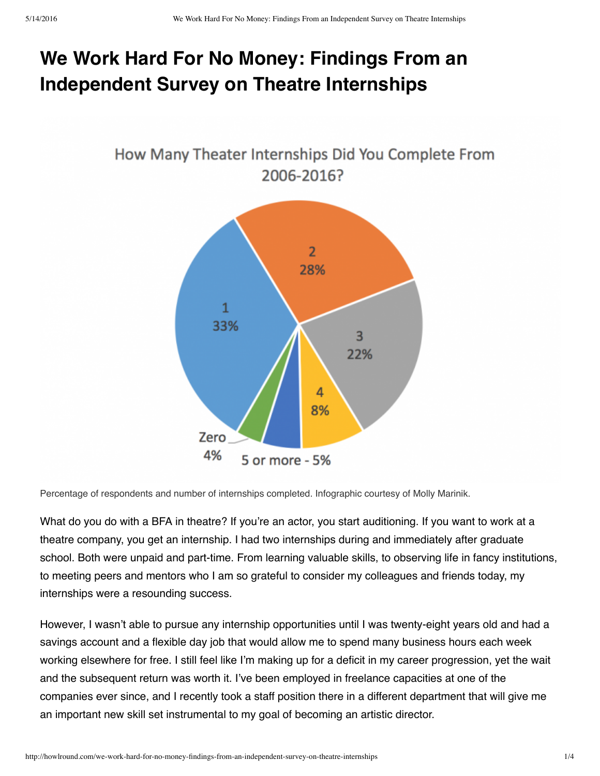## **We Work Hard For No Money: Findings From an Independent Survey on Theatre Internships**



Percentage of respondents and number of internships completed. Infographic courtesy of Molly Marinik.

What do you do with a BFA in theatre? If you're an actor, you start auditioning. If you want to work at a theatre company, you get an internship. I had two internships during and immediately after graduate school. Both were unpaid and part-time. From learning valuable skills, to observing life in fancy institutions, to meeting peers and mentors who I am so grateful to consider my colleagues and friends today, my internships were a resounding success.

However, I wasn't able to pursue any internship opportunities until I was twenty-eight years old and had a savings account and a flexible day job that would allow me to spend many business hours each week working elsewhere for free. I still feel like I'm making up for a deficit in my career progression, yet the wait and the subsequent return was worth it. I've been employed in freelance capacities at one of the companies ever since, and I recently took a staff position there in a different department that will give me an important new skill set instrumental to my goal of becoming an artistic director.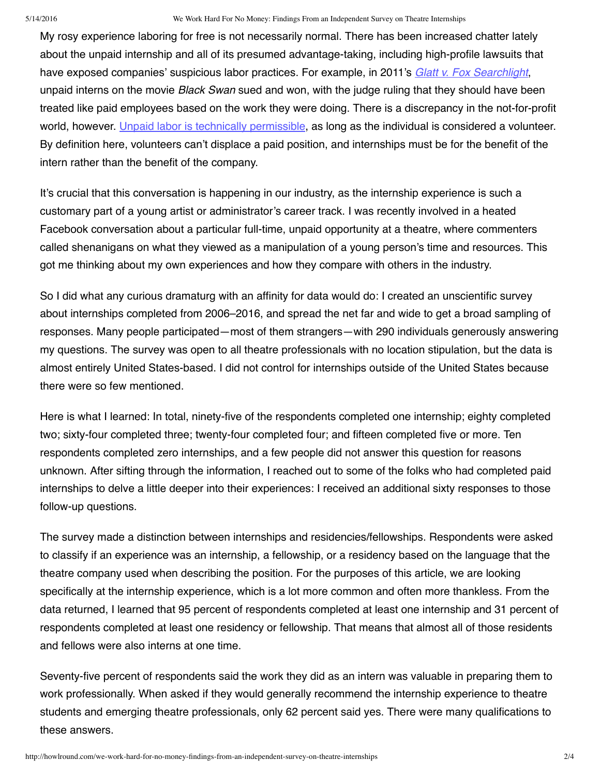## 5/14/2016 We Work Hard For No Money: Findings From an Independent Survey on Theatre Internships

My rosy experience laboring for free is not necessarily normal. There has been increased chatter lately about the unpaid internship and all of its presumed advantage-taking, including high-profile lawsuits that have exposed companies' suspicious labor practices. For example, in 2011's *Glatt v. Fox [Searchlight](http://fortune.com/2015/01/29/unpaid-internships-legal-battle/)*, unpaid interns on the movie *Black Swan* sued and won, with the judge ruling that they should have been treated like paid employees based on the work they were doing. There is a discrepancy in the not-for-profit world, however. Unpaid labor is technically [permissible](https://www.councilofnonprofits.org/tools-resources/interns-employee-or-volunteer), as long as the individual is considered a volunteer. By definition here, volunteers can't displace a paid position, and internships must be for the benefit of the intern rather than the benefit of the company.

It's crucial that this conversation is happening in our industry, as the internship experience is such a customary part of a young artist or administrator's career track. I was recently involved in a heated Facebook conversation about a particular full-time, unpaid opportunity at a theatre, where commenters called shenanigans on what they viewed as a manipulation of a young person's time and resources. This got me thinking about my own experiences and how they compare with others in the industry.

So I did what any curious dramaturg with an affinity for data would do: I created an unscientific survey about internships completed from 2006–2016, and spread the net far and wide to get a broad sampling of responses. Many people participated—most of them strangers—with 290 individuals generously answering my questions. The survey was open to all theatre professionals with no location stipulation, but the data is almost entirely United States-based. I did not control for internships outside of the United States because there were so few mentioned.

Here is what I learned: In total, ninety-five of the respondents completed one internship; eighty completed two; sixty-four completed three; twenty-four completed four; and fifteen completed five or more. Ten respondents completed zero internships, and a few people did not answer this question for reasons unknown. After sifting through the information, I reached out to some of the folks who had completed paid internships to delve a little deeper into their experiences: I received an additional sixty responses to those follow-up questions.

The survey made a distinction between internships and residencies/fellowships. Respondents were asked to classify if an experience was an internship, a fellowship, or a residency based on the language that the theatre company used when describing the position. For the purposes of this article, we are looking specifically at the internship experience, which is a lot more common and often more thankless. From the data returned, I learned that 95 percent of respondents completed at least one internship and 31 percent of respondents completed at least one residency or fellowship. That means that almost all of those residents and fellows were also interns at one time.

Seventy-five percent of respondents said the work they did as an intern was valuable in preparing them to work professionally. When asked if they would generally recommend the internship experience to theatre students and emerging theatre professionals, only 62 percent said yes. There were many qualifications to these answers.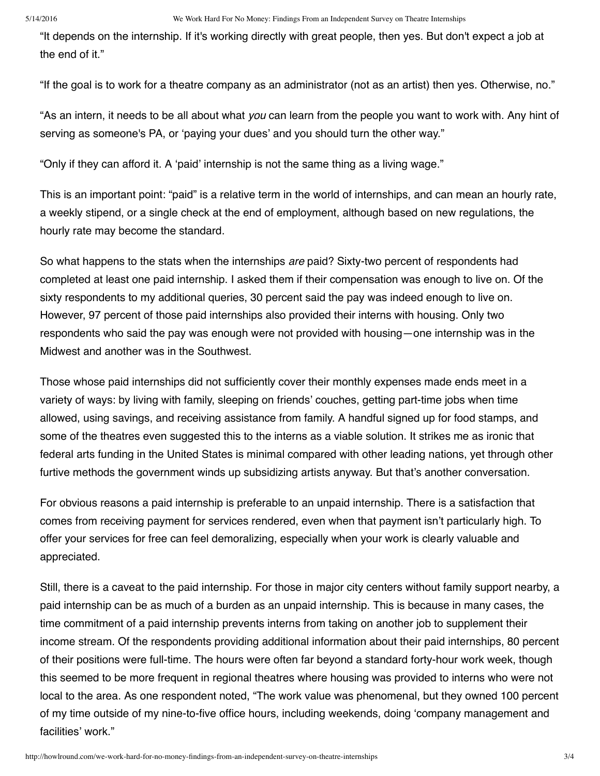"It depends on the internship. If it's working directly with great people, then yes. But don't expect a job at the end of it."

"If the goal is to work for a theatre company as an administrator (not as an artist) then yes. Otherwise, no."

"As an intern, it needs to be all about what *you* can learn from the people you want to work with. Any hint of serving as someone's PA, or 'paying your dues' and you should turn the other way."

"Only if they can afford it. A 'paid' internship is not the same thing as a living wage."

This is an important point: "paid" is a relative term in the world of internships, and can mean an hourly rate, a weekly stipend, or a single check at the end of employment, although based on new regulations, the hourly rate may become the standard.

So what happens to the stats when the internships *are* paid? Sixty-two percent of respondents had completed at least one paid internship. I asked them if their compensation was enough to live on. Of the sixty respondents to my additional queries, 30 percent said the pay was indeed enough to live on. However, 97 percent of those paid internships also provided their interns with housing. Only two respondents who said the pay was enough were not provided with housing—one internship was in the Midwest and another was in the Southwest.

Those whose paid internships did not sufficiently cover their monthly expenses made ends meet in a variety of ways: by living with family, sleeping on friends' couches, getting part-time jobs when time allowed, using savings, and receiving assistance from family. A handful signed up for food stamps, and some of the theatres even suggested this to the interns as a viable solution. It strikes me as ironic that federal arts funding in the United States is minimal compared with other leading nations, yet through other furtive methods the government winds up subsidizing artists anyway. But that's another conversation.

For obvious reasons a paid internship is preferable to an unpaid internship. There is a satisfaction that comes from receiving payment for services rendered, even when that payment isn't particularly high. To offer your services for free can feel demoralizing, especially when your work is clearly valuable and appreciated.

Still, there is a caveat to the paid internship. For those in major city centers without family support nearby, a paid internship can be as much of a burden as an unpaid internship. This is because in many cases, the time commitment of a paid internship prevents interns from taking on another job to supplement their income stream. Of the respondents providing additional information about their paid internships, 80 percent of their positions were full-time. The hours were often far beyond a standard forty-hour work week, though this seemed to be more frequent in regional theatres where housing was provided to interns who were not local to the area. As one respondent noted, "The work value was phenomenal, but they owned 100 percent of my time outside of my nine-to-five office hours, including weekends, doing 'company management and facilities' work."